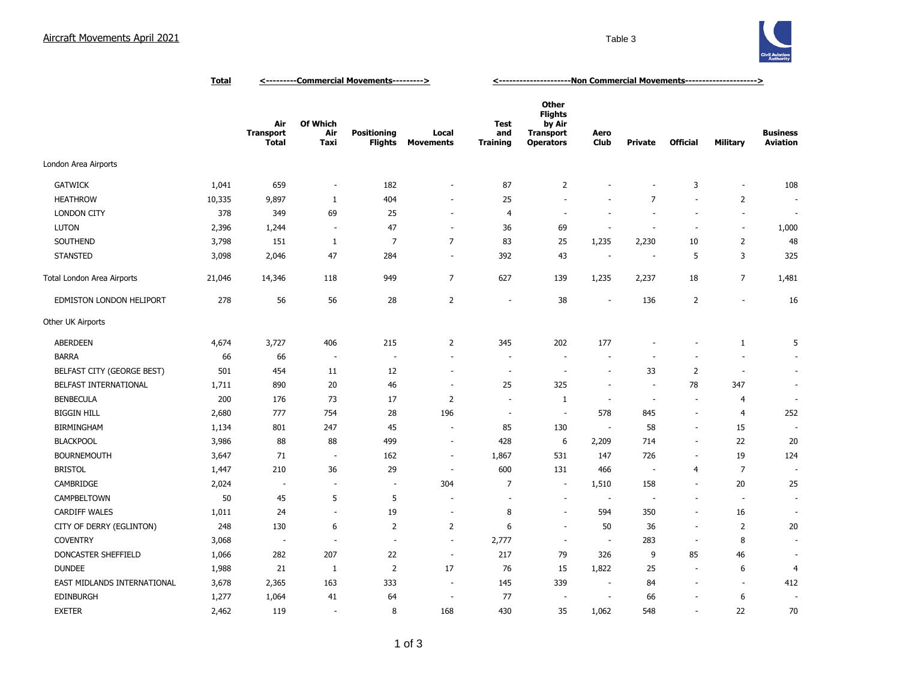## Aircraft Movements April 2021 **Table 3** Table 3



|                             | <u>Total</u> | <---------Commercial Movements---------> |                          |                                      |                           | <u>&lt;----------------------Non Commercial Movements---------------------&gt;</u> |                                                                                  |                          |                |                          |                          |                                    |
|-----------------------------|--------------|------------------------------------------|--------------------------|--------------------------------------|---------------------------|------------------------------------------------------------------------------------|----------------------------------------------------------------------------------|--------------------------|----------------|--------------------------|--------------------------|------------------------------------|
|                             |              | Air<br><b>Transport</b><br><b>Total</b>  | Of Which<br>Air<br>Taxi  | <b>Positioning</b><br><b>Flights</b> | Local<br><b>Movements</b> | <b>Test</b><br>and<br><b>Training</b>                                              | <b>Other</b><br><b>Flights</b><br>by Air<br><b>Transport</b><br><b>Operators</b> | Aero<br><b>Club</b>      | <b>Private</b> | <b>Official</b>          | <b>Military</b>          | <b>Business</b><br><b>Aviation</b> |
| London Area Airports        |              |                                          |                          |                                      |                           |                                                                                    |                                                                                  |                          |                |                          |                          |                                    |
| <b>GATWICK</b>              | 1,041        | 659                                      | ÷,                       | 182                                  | ÷,                        | 87                                                                                 | 2                                                                                |                          | ÷,             | 3                        | $\overline{\phantom{a}}$ | 108                                |
| <b>HEATHROW</b>             | 10,335       | 9,897                                    | $\mathbf{1}$             | 404                                  | ٠                         | 25                                                                                 | ÷.                                                                               |                          | $\overline{7}$ | $\sim$                   | 2                        | $\overline{\phantom{a}}$           |
| <b>LONDON CITY</b>          | 378          | 349                                      | 69                       | 25                                   | $\sim$                    | 4                                                                                  | $\sim$                                                                           |                          | $\sim$         | $\sim$                   | ÷,                       | $\overline{\phantom{a}}$           |
| <b>LUTON</b>                | 2,396        | 1,244                                    | $\overline{\phantom{a}}$ | 47                                   | $\overline{\phantom{a}}$  | 36                                                                                 | 69                                                                               |                          | $\sim$         | $\sim$                   | ÷,                       | 1,000                              |
| SOUTHEND                    | 3,798        | 151                                      | $\mathbf{1}$             | $\overline{7}$                       | $\overline{7}$            | 83                                                                                 | 25                                                                               | 1,235                    | 2,230          | 10                       | $\overline{2}$           | 48                                 |
| <b>STANSTED</b>             | 3,098        | 2,046                                    | 47                       | 284                                  | $\overline{\phantom{a}}$  | 392                                                                                | 43                                                                               | $\overline{\phantom{a}}$ |                | 5                        | 3                        | 325                                |
| Total London Area Airports  | 21,046       | 14,346                                   | 118                      | 949                                  | $\overline{7}$            | 627                                                                                | 139                                                                              | 1,235                    | 2,237          | 18                       | $\overline{7}$           | 1,481                              |
| EDMISTON LONDON HELIPORT    | 278          | 56                                       | 56                       | 28                                   | $\overline{2}$            | $\sim$                                                                             | 38                                                                               | $\sim$                   | 136            | $\overline{2}$           | ÷.                       | 16                                 |
| Other UK Airports           |              |                                          |                          |                                      |                           |                                                                                    |                                                                                  |                          |                |                          |                          |                                    |
| <b>ABERDEEN</b>             | 4,674        | 3,727                                    | 406                      | 215                                  | $\overline{2}$            | 345                                                                                | 202                                                                              | 177                      |                |                          | $\mathbf{1}$             | 5                                  |
| <b>BARRA</b>                | 66           | 66                                       | $\overline{\phantom{a}}$ | $\overline{\phantom{a}}$             | ÷.                        |                                                                                    | $\sim$                                                                           |                          |                |                          | ÷,                       |                                    |
| BELFAST CITY (GEORGE BEST)  | 501          | 454                                      | 11                       | 12                                   | $\overline{\phantom{a}}$  | $\sim$                                                                             | $\sim$                                                                           | $\sim$                   | 33             | $\overline{2}$           | $\overline{\phantom{a}}$ | ÷.                                 |
| BELFAST INTERNATIONAL       | 1,711        | 890                                      | 20                       | 46                                   | $\overline{\phantom{a}}$  | 25                                                                                 | 325                                                                              | $\sim$                   | ÷.             | 78                       | 347                      | $\sim$                             |
| <b>BENBECULA</b>            | 200          | 176                                      | 73                       | 17                                   | $\overline{2}$            | $\overline{\phantom{a}}$                                                           | $\mathbf{1}$                                                                     | $\overline{\phantom{a}}$ | ÷.             | $\sim$                   | $\overline{4}$           | ÷.                                 |
| <b>BIGGIN HILL</b>          | 2,680        | 777                                      | 754                      | 28                                   | 196                       | ÷.                                                                                 | $\overline{\phantom{a}}$                                                         | 578                      | 845            | $\blacksquare$           | $\overline{4}$           | 252                                |
| <b>BIRMINGHAM</b>           | 1,134        | 801                                      | 247                      | 45                                   | $\overline{\phantom{a}}$  | 85                                                                                 | 130                                                                              | $\sim$                   | 58             | $\sim$                   | 15                       |                                    |
| <b>BLACKPOOL</b>            | 3,986        | 88                                       | 88                       | 499                                  | $\overline{\phantom{a}}$  | 428                                                                                | 6                                                                                | 2,209                    | 714            | $\blacksquare$           | 22                       | 20                                 |
| <b>BOURNEMOUTH</b>          | 3,647        | 71                                       | $\overline{\phantom{a}}$ | 162                                  | $\overline{\phantom{a}}$  | 1,867                                                                              | 531                                                                              | 147                      | 726            | $\sim$                   | 19                       | 124                                |
| <b>BRISTOL</b>              | 1,447        | 210                                      | 36                       | 29                                   | ٠.                        | 600                                                                                | 131                                                                              | 466                      | . —            | 4                        | $\overline{7}$           |                                    |
| CAMBRIDGE                   | 2,024        | ÷.                                       | $\overline{\phantom{a}}$ | $\sim$                               | 304                       | $\overline{7}$                                                                     | $\sim$                                                                           | 1,510                    | 158            | ÷.                       | 20                       | 25                                 |
| CAMPBELTOWN                 | 50           | 45                                       | 5                        | 5                                    |                           |                                                                                    | ÷,                                                                               | $\sim$                   |                | $\sim$                   | ٠.                       |                                    |
| <b>CARDIFF WALES</b>        | 1,011        | 24                                       | J.                       | 19                                   | ä,                        | 8                                                                                  | ÷,                                                                               | 594                      | 350            | $\sim$                   | 16                       |                                    |
| CITY OF DERRY (EGLINTON)    | 248          | 130                                      | 6                        | $\overline{2}$                       | $\overline{2}$            | 6                                                                                  | $\sim$                                                                           | 50                       | 36             | $\sim$                   | $\overline{2}$           | 20                                 |
| <b>COVENTRY</b>             | 3,068        | $\overline{\phantom{a}}$                 | $\overline{\phantom{a}}$ | $\overline{\phantom{a}}$             | $\overline{\phantom{a}}$  | 2,777                                                                              | $\sim$                                                                           | $\overline{\phantom{a}}$ | 283            | $\overline{\phantom{a}}$ | 8                        |                                    |
| DONCASTER SHEFFIELD         | 1,066        | 282                                      | 207                      | 22                                   | $\overline{\phantom{a}}$  | 217                                                                                | 79                                                                               | 326                      | 9              | 85                       | 46                       |                                    |
| <b>DUNDEE</b>               | 1,988        | 21                                       | 1                        | $\overline{2}$                       | 17                        | 76                                                                                 | 15                                                                               | 1,822                    | 25             | $\overline{\phantom{a}}$ | 6                        | 4                                  |
| EAST MIDLANDS INTERNATIONAL | 3,678        | 2,365                                    | 163                      | 333                                  | $\overline{\phantom{a}}$  | 145                                                                                | 339                                                                              | $\sim$                   | 84             | $\overline{\phantom{a}}$ | $\overline{\phantom{a}}$ | 412                                |
| <b>EDINBURGH</b>            | 1,277        | 1,064                                    | 41                       | 64                                   | $\overline{\phantom{a}}$  | 77                                                                                 | $\sim$                                                                           | $\sim$                   | 66             |                          | 6                        | $\overline{\phantom{a}}$           |
| <b>EXETER</b>               | 2,462        | 119                                      | ÷,                       | 8                                    | 168                       | 430                                                                                | 35                                                                               | 1,062                    | 548            | $\blacksquare$           | 22                       | 70                                 |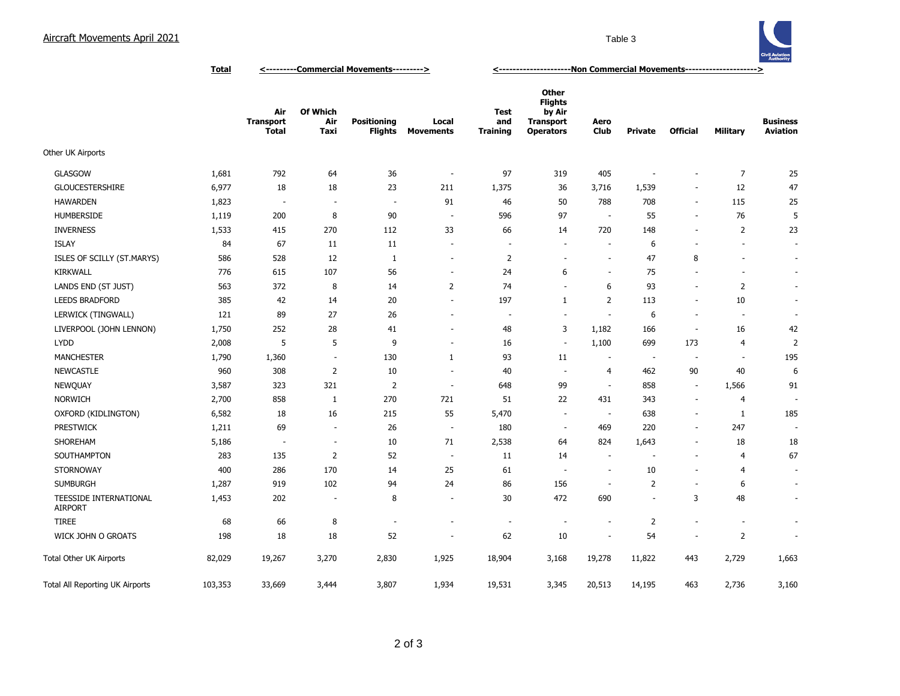## Aircraft Movements April 2021 **Table 3** Table 3



**Air Transport Total Of Which Air Taxi Positioning Flights Movements Local Test and Training Other Flights by Air Transport Operators Aero Club Private Official Military Business Aviation** Other UK Airports GLASGOW 1,681 792 64 36 - 97 319 405 - - 7 25 GLOUCESTERSHIRE 6,977 18 18 23 211 1,375 36 3,716 1,539 - 12 47 HAWARDEN 1,823 - - - 91 46 50 788 708 - 115 25 HUMBERSIDE 1,119 200 8 90 - 596 97 - 55 - 76 5 INVERNESS 1,533 415 270 112 33 66 14 720 148 - 2 23 ISLAY 84 67 11 11 - - - - 6 - - - ISLES OF SCILLY (ST.MARYS) 586 528 12 1 - 2 - - 47 8 - - KIRKWALL 776 615 107 56 - 24 6 - 75 - - - LANDS END (ST JUST) 563 372 8 14 2 74 - 6 93 - 2 - LEEDS BRADFORD 385 42 14 20 - 197 1 2 113 - 10 - LERWICK (TINGWALL) 121 89 27 26 - - - - 6 - - -LIVERPOOL (JOHN LENNON) 1,750 252 28 41 - 48 3 1,182 166 - 16 42 LYDD 2,008 5 5 9 - 16 - 1,100 699 173 4 2 1,790 1,360 - 130 1 93 11 - - - - - - 195 195 NEWCASTLE 960 308 2 10 - 40 - 4 462 90 40 6 NEWQUAY 3,587 323 321 2 - 648 99 - 858 - 1,566 91 NORWICH 2,700 858 1 270 721 51 22 431 343 - 4 - OXFORD (KIDLINGTON) 6,582 18 16 215 55 5,470 638 1 185 PRESTWICK 1,211 69 - 26 - 180 - 469 220 - 247 -SHOREHAM 5,186 - - 10 71 2,538 64 824 1,643 - 18 18 SOUTHAMPTON 283 135 2 52 - 11 14 - - - 4 67 STORNOWAY 400 286 170 14 25 61 - - 10 - 4 -SUMBURGH 1,287 919 102 94 24 86 156 - 2 - 6 - TEESSIDE INTERNATIONAL AIRPORT 1,453 202 - 8 - 30 472 690 - 3 48 - TIREE 68 66 8 - - - - - - - 2 - - - - -WICK JOHN O GROATS 198 18 52 - 62 10 - 54 - 2 -Total Other UK Airports **82,029** 19,267 3,270 2,830 1,925 18,904 3,168 19,278 11,822 443 2,729 1,663 Total All Reporting UK Airports 103,353 33,669 3,444 3,807 1,934 19,531 3,345 20,513 14,195 463 2,736 3,160